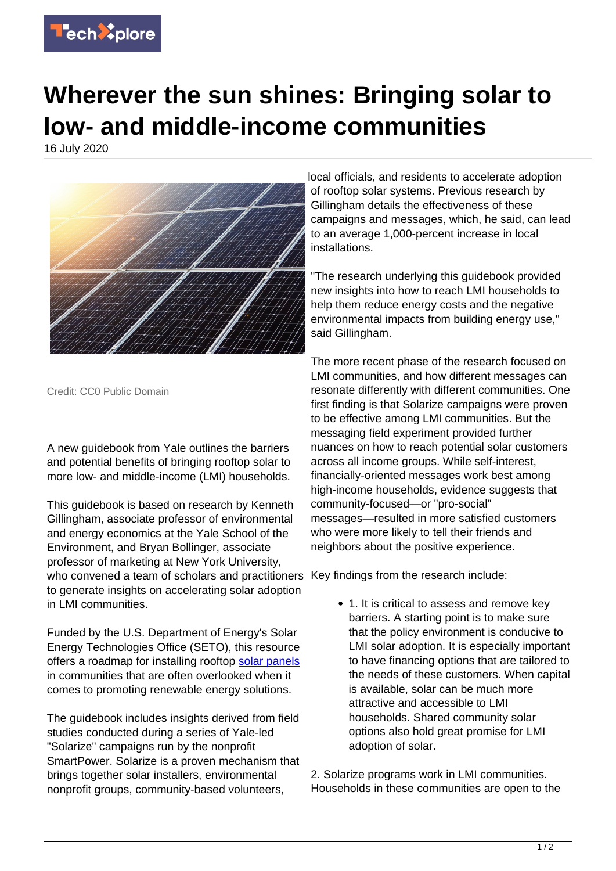

## **Wherever the sun shines: Bringing solar to low- and middle-income communities**

16 July 2020



Credit: CC0 Public Domain

A new guidebook from Yale outlines the barriers and potential benefits of bringing rooftop solar to more low- and middle-income (LMI) households.

This guidebook is based on research by Kenneth Gillingham, associate professor of environmental and energy economics at the Yale School of the Environment, and Bryan Bollinger, associate professor of marketing at New York University, who convened a team of scholars and practitioners Key findings from the research include: to generate insights on accelerating solar adoption in LMI communities.

Funded by the U.S. Department of Energy's Solar Energy Technologies Office (SETO), this resource offers a roadmap for installing rooftop [solar panels](https://techxplore.com/tags/solar+panels/) in communities that are often overlooked when it comes to promoting renewable energy solutions.

The guidebook includes insights derived from field studies conducted during a series of Yale-led "Solarize" campaigns run by the nonprofit SmartPower. Solarize is a proven mechanism that brings together solar installers, environmental nonprofit groups, community-based volunteers,

local officials, and residents to accelerate adoption of rooftop solar systems. Previous research by Gillingham details the effectiveness of these campaigns and messages, which, he said, can lead to an average 1,000-percent increase in local installations.

"The research underlying this guidebook provided new insights into how to reach LMI households to help them reduce energy costs and the negative environmental impacts from building energy use," said Gillingham.

The more recent phase of the research focused on LMI communities, and how different messages can resonate differently with different communities. One first finding is that Solarize campaigns were proven to be effective among LMI communities. But the messaging field experiment provided further nuances on how to reach potential solar customers across all income groups. While self-interest, financially-oriented messages work best among high-income households, evidence suggests that community-focused—or "pro-social" messages—resulted in more satisfied customers who were more likely to tell their friends and neighbors about the positive experience.

• 1. It is critical to assess and remove key barriers. A starting point is to make sure that the policy environment is conducive to LMI solar adoption. It is especially important to have financing options that are tailored to the needs of these customers. When capital is available, solar can be much more attractive and accessible to LMI households. Shared community solar options also hold great promise for LMI adoption of solar.

2. Solarize programs work in LMI communities. Households in these communities are open to the